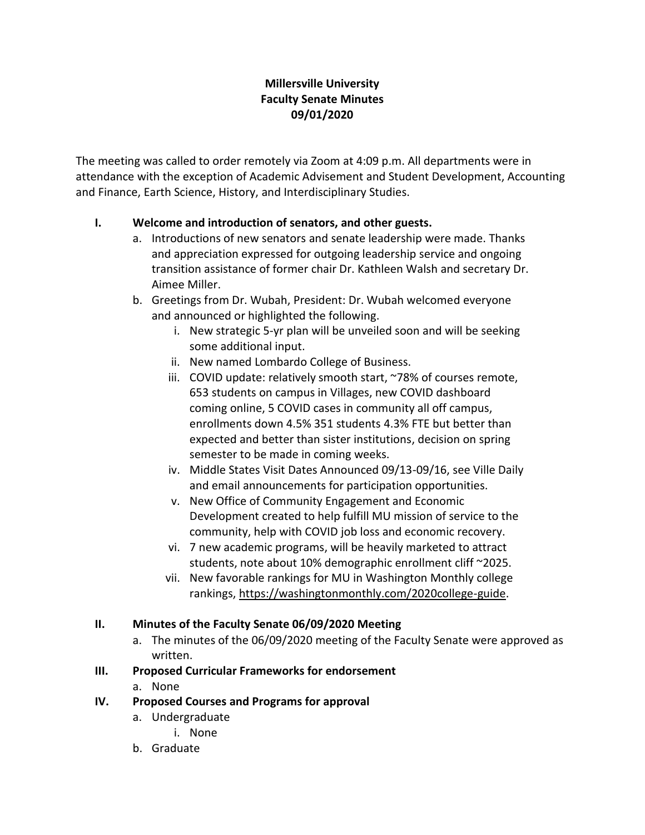### **Millersville University Faculty Senate Minutes 09/01/2020**

The meeting was called to order remotely via Zoom at 4:09 p.m. All departments were in attendance with the exception of Academic Advisement and Student Development, Accounting and Finance, Earth Science, History, and Interdisciplinary Studies.

### **I. Welcome and introduction of senators, and other guests.**

- a. Introductions of new senators and senate leadership were made. Thanks and appreciation expressed for outgoing leadership service and ongoing transition assistance of former chair Dr. Kathleen Walsh and secretary Dr. Aimee Miller.
- b. Greetings from Dr. Wubah, President: Dr. Wubah welcomed everyone and announced or highlighted the following.
	- i. New strategic 5-yr plan will be unveiled soon and will be seeking some additional input.
	- ii. New named Lombardo College of Business.
	- iii. COVID update: relatively smooth start, ~78% of courses remote, 653 students on campus in Villages, new COVID dashboard coming online, 5 COVID cases in community all off campus, enrollments down 4.5% 351 students 4.3% FTE but better than expected and better than sister institutions, decision on spring semester to be made in coming weeks.
	- iv. Middle States Visit Dates Announced 09/13-09/16, see Ville Daily and email announcements for participation opportunities.
	- v. New Office of Community Engagement and Economic Development created to help fulfill MU mission of service to the community, help with COVID job loss and economic recovery.
	- vi. 7 new academic programs, will be heavily marketed to attract students, note about 10% demographic enrollment cliff ~2025.
	- vii. New favorable rankings for MU in Washington Monthly college rankings, [https://washingtonmonthly.com/2020college-guide.](https://washingtonmonthly.com/2020college-guide)

### **II. Minutes of the Faculty Senate 06/09/2020 Meeting**

a. The minutes of the 06/09/2020 meeting of the Faculty Senate were approved as written.

### **III. Proposed Curricular Frameworks for endorsement**

a. None

### **IV. Proposed Courses and Programs for approval**

- a. Undergraduate
	- i. None
- b. Graduate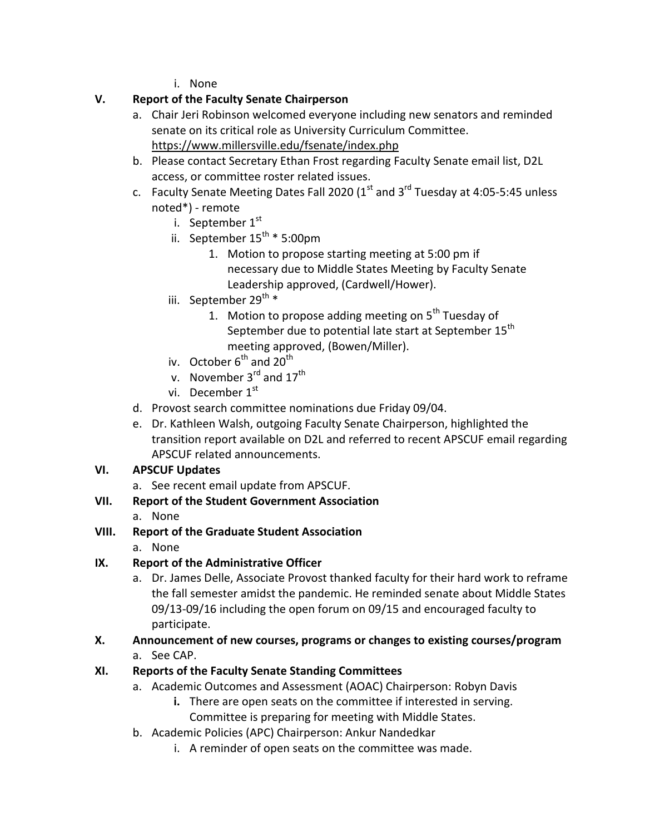i. None

## **V. Report of the Faculty Senate Chairperson**

- a. Chair Jeri Robinson welcomed everyone including new senators and reminded senate on its critical role as University Curriculum Committee. <https://www.millersville.edu/fsenate/index.php>
- b. Please contact Secretary Ethan Frost regarding Faculty Senate email list, D2L access, or committee roster related issues.
- c. Faculty Senate Meeting Dates Fall 2020 ( $1<sup>st</sup>$  and  $3<sup>rd</sup>$  Tuesday at 4:05-5:45 unless noted\*) - remote
	- i. September  $1<sup>st</sup>$
	- ii. September  $15^{th}$  \* 5:00pm
		- 1. Motion to propose starting meeting at 5:00 pm if necessary due to Middle States Meeting by Faculty Senate Leadership approved, (Cardwell/Hower).
	- iii. September 29<sup>th</sup> \*
		- 1. Motion to propose adding meeting on  $5<sup>th</sup>$  Tuesday of September due to potential late start at September 15<sup>th</sup> meeting approved, (Bowen/Miller).
	- iv. October  $6^{th}$  and  $20^{th}$
	- v. November  $3<sup>rd</sup>$  and  $17<sup>th</sup>$
	- vi. December  $1^\mathrm{st}$
- d. Provost search committee nominations due Friday 09/04.
- e. Dr. Kathleen Walsh, outgoing Faculty Senate Chairperson, highlighted the transition report available on D2L and referred to recent APSCUF email regarding APSCUF related announcements.

## **VI. APSCUF Updates**

- a. See recent email update from APSCUF.
- **VII. Report of the Student Government Association**
	- a. None

# **VIII. Report of the Graduate Student Association**

a. None

# **IX. Report of the Administrative Officer**

- a. Dr. James Delle, Associate Provost thanked faculty for their hard work to reframe the fall semester amidst the pandemic. He reminded senate about Middle States 09/13-09/16 including the open forum on 09/15 and encouraged faculty to participate.
- **X. Announcement of new courses, programs or changes to existing courses/program**
	- a. See CAP.

# **XI. Reports of the Faculty Senate Standing Committees**

- a. Academic Outcomes and Assessment (AOAC) Chairperson: Robyn Davis
	- **i.** There are open seats on the committee if interested in serving. Committee is preparing for meeting with Middle States.
- b. Academic Policies (APC) Chairperson: Ankur Nandedkar
	- i. A reminder of open seats on the committee was made.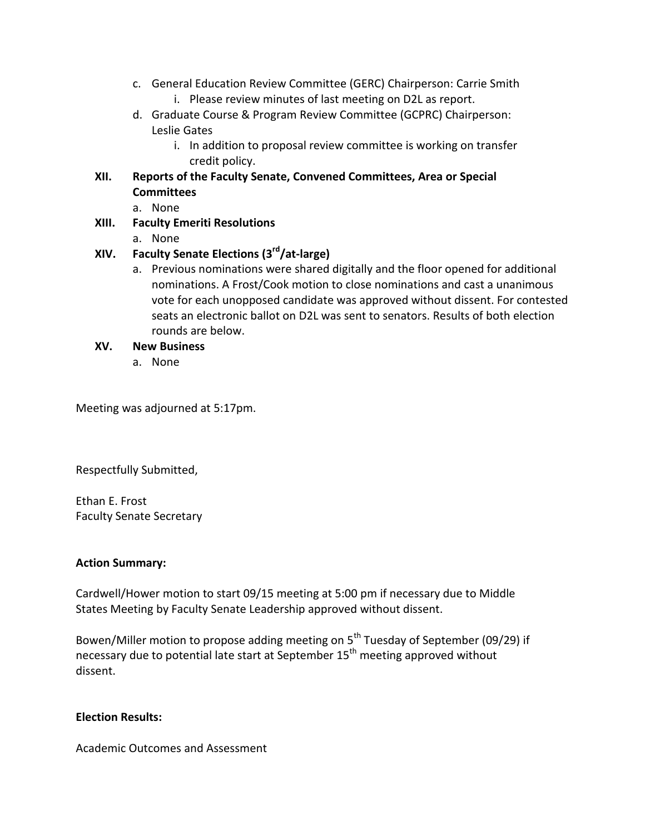- c. General Education Review Committee (GERC) Chairperson: Carrie Smith
	- i. Please review minutes of last meeting on D2L as report.
- d. Graduate Course & Program Review Committee (GCPRC) Chairperson: Leslie Gates
	- i. In addition to proposal review committee is working on transfer credit policy.

## **XII. Reports of the Faculty Senate, Convened Committees, Area or Special Committees**

- a. None
- **XIII. Faculty Emeriti Resolutions**
	- a. None

## **XIV. Faculty Senate Elections (3rd/at-large)**

- a. Previous nominations were shared digitally and the floor opened for additional nominations. A Frost/Cook motion to close nominations and cast a unanimous vote for each unopposed candidate was approved without dissent. For contested seats an electronic ballot on D2L was sent to senators. Results of both election rounds are below.
- **XV. New Business**
	- a. None

Meeting was adjourned at 5:17pm.

Respectfully Submitted,

Ethan E. Frost Faculty Senate Secretary

### **Action Summary:**

Cardwell/Hower motion to start 09/15 meeting at 5:00 pm if necessary due to Middle States Meeting by Faculty Senate Leadership approved without dissent.

Bowen/Miller motion to propose adding meeting on 5<sup>th</sup> Tuesday of September (09/29) if necessary due to potential late start at September 15<sup>th</sup> meeting approved without dissent.

### **Election Results:**

Academic Outcomes and Assessment